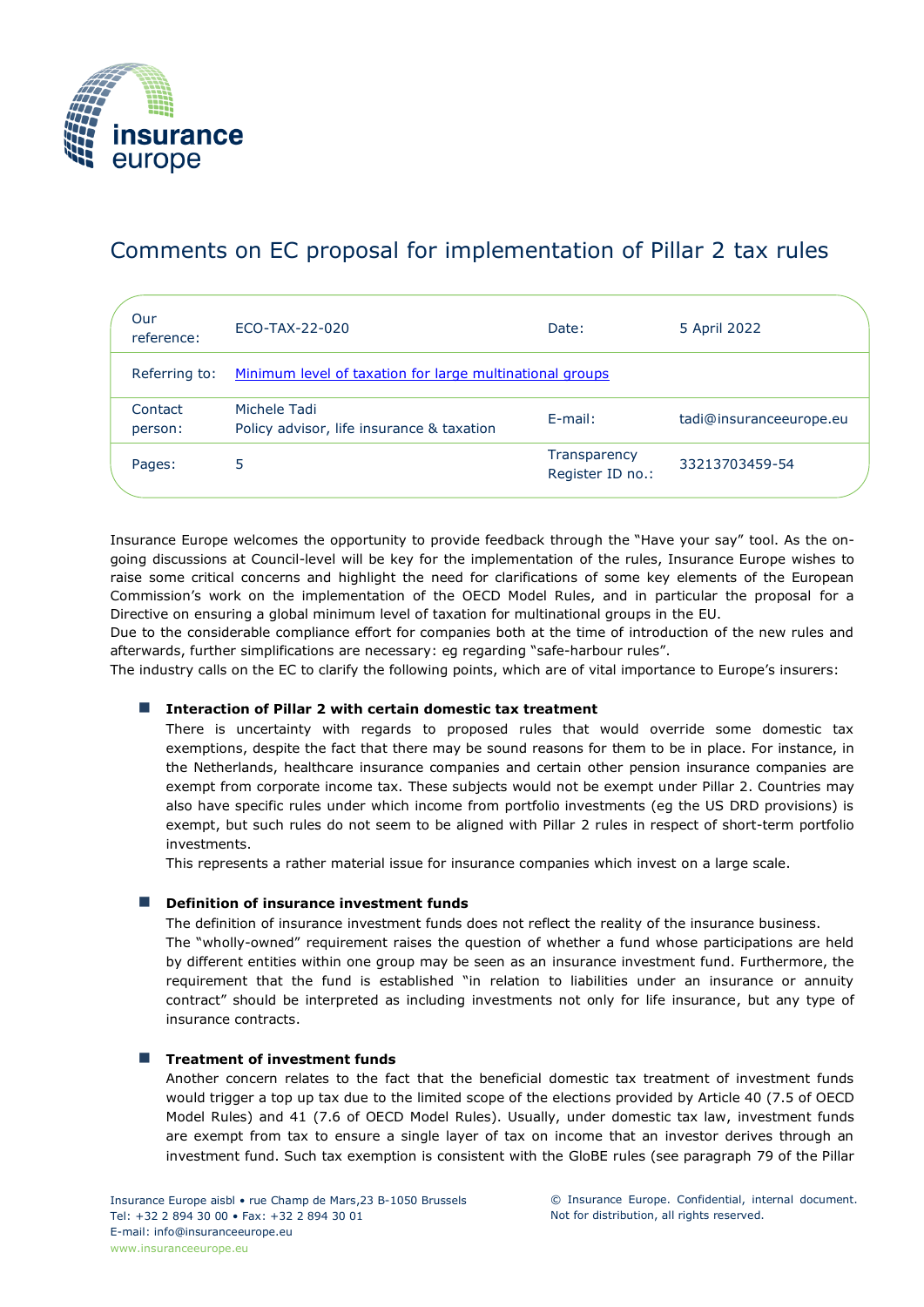

# Comments on EC proposal for implementation of Pillar 2 tax rules

| Our<br>reference:  | ECO-TAX-22-020                                            | Date:                            | 5 April 2022            |
|--------------------|-----------------------------------------------------------|----------------------------------|-------------------------|
| Referring to:      | Minimum level of taxation for large multinational groups  |                                  |                         |
| Contact<br>person: | Michele Tadi<br>Policy advisor, life insurance & taxation | $E$ -mail:                       | tadi@insuranceeurope.eu |
| Pages:             | 5                                                         | Transparency<br>Register ID no.: | 33213703459-54          |

Insurance Europe welcomes the opportunity to provide feedback through the "Have your say" tool. As the ongoing discussions at Council-level will be key for the implementation of the rules, Insurance Europe wishes to raise some critical concerns and highlight the need for clarifications of some key elements of the European Commission's work on the implementation of the OECD Model Rules, and in particular the proposal for a Directive on ensuring a global minimum level of taxation for multinational groups in the EU.

Due to the considerable compliance effort for companies both at the time of introduction of the new rules and afterwards, further simplifications are necessary: eg regarding "safe-harbour rules".

The industry calls on the EC to clarify the following points, which are of vital importance to Europe's insurers:

# ■ Interaction of Pillar 2 with certain domestic tax treatment

There is uncertainty with regards to proposed rules that would override some domestic tax exemptions, despite the fact that there may be sound reasons for them to be in place. For instance, in the Netherlands, healthcare insurance companies and certain other pension insurance companies are exempt from corporate income tax. These subjects would not be exempt under Pillar 2. Countries may also have specific rules under which income from portfolio investments (eg the US DRD provisions) is exempt, but such rules do not seem to be aligned with Pillar 2 rules in respect of short-term portfolio investments.

This represents a rather material issue for insurance companies which invest on a large scale.

# ■ **Definition of insurance investment funds**

The definition of insurance investment funds does not reflect the reality of the insurance business.

The "wholly-owned" requirement raises the question of whether a fund whose participations are held by different entities within one group may be seen as an insurance investment fund. Furthermore, the requirement that the fund is established "in relation to liabilities under an insurance or annuity contract" should be interpreted as including investments not only for life insurance, but any type of insurance contracts.

# ■ Treatment of investment funds

Another concern relates to the fact that the beneficial domestic tax treatment of investment funds would trigger a top up tax due to the limited scope of the elections provided by Article 40 (7.5 of OECD Model Rules) and 41 (7.6 of OECD Model Rules). Usually, under domestic tax law, investment funds are exempt from tax to ensure a single layer of tax on income that an investor derives through an investment fund. Such tax exemption is consistent with the GloBE rules (see paragraph 79 of the Pillar

© Insurance Europe. Confidential, internal document. Not for distribution, all rights reserved.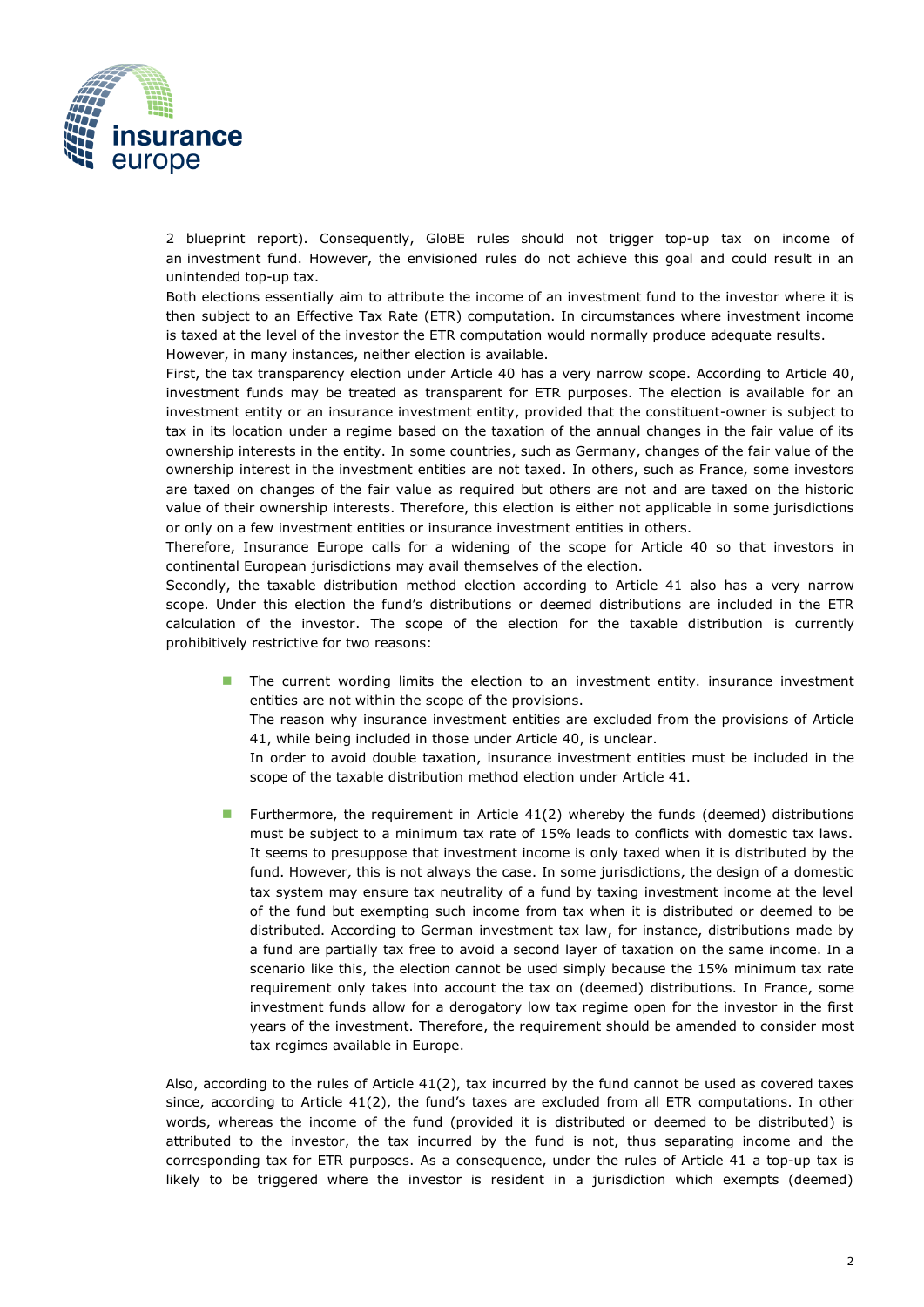

2 blueprint report). Consequently, GloBE rules should not trigger top-up tax on income of an investment fund. However, the envisioned rules do not achieve this goal and could result in an unintended top-up tax.

Both elections essentially aim to attribute the income of an investment fund to the investor where it is then subject to an Effective Tax Rate (ETR) computation. In circumstances where investment income is taxed at the level of the investor the ETR computation would normally produce adequate results. However, in many instances, neither election is available.

First, the tax transparency election under Article 40 has a very narrow scope. According to Article 40, investment funds may be treated as transparent for ETR purposes. The election is available for an investment entity or an insurance investment entity, provided that the constituent-owner is subject to tax in its location under a regime based on the taxation of the annual changes in the fair value of its ownership interests in the entity. In some countries, such as Germany, changes of the fair value of the ownership interest in the investment entities are not taxed. In others, such as France, some investors are taxed on changes of the fair value as required but others are not and are taxed on the historic value of their ownership interests. Therefore, this election is either not applicable in some jurisdictions or only on a few investment entities or insurance investment entities in others.

Therefore, Insurance Europe calls for a widening of the scope for Article 40 so that investors in continental European jurisdictions may avail themselves of the election.

Secondly, the taxable distribution method election according to Article 41 also has a very narrow scope. Under this election the fund's distributions or deemed distributions are included in the ETR calculation of the investor. The scope of the election for the taxable distribution is currently prohibitively restrictive for two reasons:

■ The current wording limits the election to an investment entity. insurance investment entities are not within the scope of the provisions.

The reason why insurance investment entities are excluded from the provisions of Article 41, while being included in those under Article 40, is unclear.

In order to avoid double taxation, insurance investment entities must be included in the scope of the taxable distribution method election under Article 41.

**■** Furthermore, the requirement in Article 41(2) whereby the funds (deemed) distributions must be subject to a minimum tax rate of 15% leads to conflicts with domestic tax laws. It seems to presuppose that investment income is only taxed when it is distributed by the fund. However, this is not always the case. In some jurisdictions, the design of a domestic tax system may ensure tax neutrality of a fund by taxing investment income at the level of the fund but exempting such income from tax when it is distributed or deemed to be distributed. According to German investment tax law, for instance, distributions made by a fund are partially tax free to avoid a second layer of taxation on the same income. In a scenario like this, the election cannot be used simply because the 15% minimum tax rate requirement only takes into account the tax on (deemed) distributions. In France, some investment funds allow for a derogatory low tax regime open for the investor in the first years of the investment. Therefore, the requirement should be amended to consider most tax regimes available in Europe.

Also, according to the rules of Article 41(2), tax incurred by the fund cannot be used as covered taxes since, according to Article 41(2), the fund's taxes are excluded from all ETR computations. In other words, whereas the income of the fund (provided it is distributed or deemed to be distributed) is attributed to the investor, the tax incurred by the fund is not, thus separating income and the corresponding tax for ETR purposes. As a consequence, under the rules of Article 41 a top-up tax is likely to be triggered where the investor is resident in a jurisdiction which exempts (deemed)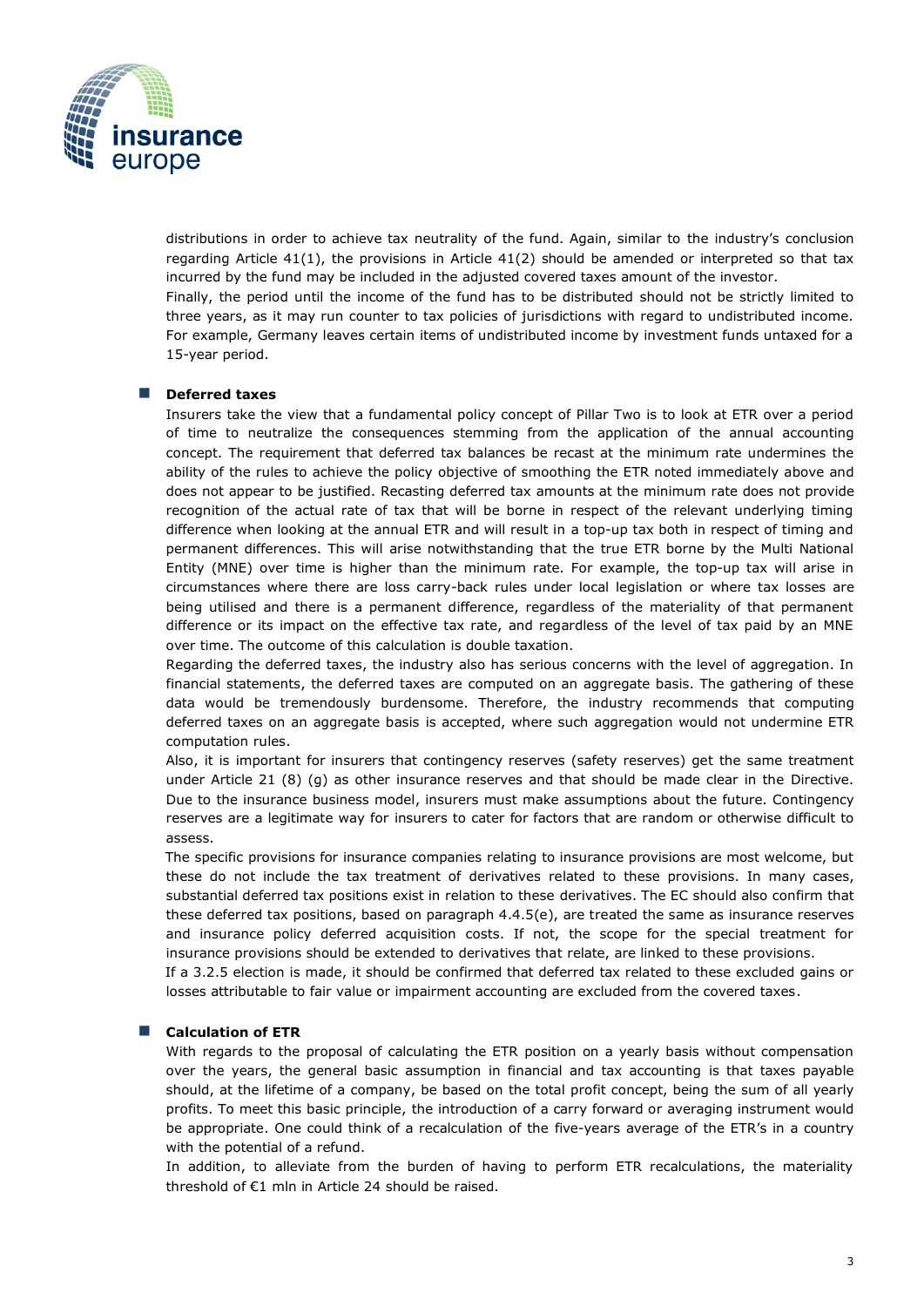

distributions in order to achieve tax neutrality of the fund. Again, similar to the industry's conclusion regarding Article 41(1), the provisions in Article 41(2) should be amended or interpreted so that tax incurred by the fund may be included in the adjusted covered taxes amount of the investor. Finally, the period until the income of the fund has to be distributed should not be strictly limited to three years, as it may run counter to tax policies of jurisdictions with regard to undistributed income. For example, Germany leaves certain items of undistributed income by investment funds untaxed for a

#### ■ **Deferred taxes**

15-year period.

Insurers take the view that a fundamental policy concept of Pillar Two is to look at ETR over a period of time to neutralize the consequences stemming from the application of the annual accounting concept. The requirement that deferred tax balances be recast at the minimum rate undermines the ability of the rules to achieve the policy objective of smoothing the ETR noted immediately above and does not appear to be justified. Recasting deferred tax amounts at the minimum rate does not provide recognition of the actual rate of tax that will be borne in respect of the relevant underlying timing difference when looking at the annual ETR and will result in a top-up tax both in respect of timing and permanent differences. This will arise notwithstanding that the true ETR borne by the Multi National Entity (MNE) over time is higher than the minimum rate. For example, the top-up tax will arise in circumstances where there are loss carry-back rules under local legislation or where tax losses are being utilised and there is a permanent difference, regardless of the materiality of that permanent difference or its impact on the effective tax rate, and regardless of the level of tax paid by an MNE over time. The outcome of this calculation is double taxation.

Regarding the deferred taxes, the industry also has serious concerns with the level of aggregation. In financial statements, the deferred taxes are computed on an aggregate basis. The gathering of these data would be tremendously burdensome. Therefore, the industry recommends that computing deferred taxes on an aggregate basis is accepted, where such aggregation would not undermine ETR computation rules.

Also, it is important for insurers that contingency reserves (safety reserves) get the same treatment under Article 21 (8) (g) as other insurance reserves and that should be made clear in the Directive. Due to the insurance business model, insurers must make assumptions about the future. Contingency reserves are a legitimate way for insurers to cater for factors that are random or otherwise difficult to assess.

The specific provisions for insurance companies relating to insurance provisions are most welcome, but these do not include the tax treatment of derivatives related to these provisions. In many cases, substantial deferred tax positions exist in relation to these derivatives. The EC should also confirm that these deferred tax positions, based on paragraph 4.4.5(e), are treated the same as insurance reserves and insurance policy deferred acquisition costs. If not, the scope for the special treatment for insurance provisions should be extended to derivatives that relate, are linked to these provisions.

If a 3.2.5 election is made, it should be confirmed that deferred tax related to these excluded gains or losses attributable to fair value or impairment accounting are excluded from the covered taxes.

#### ■ **Calculation of ETR**

With regards to the proposal of calculating the ETR position on a yearly basis without compensation over the years, the general basic assumption in financial and tax accounting is that taxes payable should, at the lifetime of a company, be based on the total profit concept, being the sum of all yearly profits. To meet this basic principle, the introduction of a carry forward or averaging instrument would be appropriate. One could think of a recalculation of the five-years average of the ETR's in a country with the potential of a refund.

In addition, to alleviate from the burden of having to perform ETR recalculations, the materiality threshold of €1 mln in Article 24 should be raised.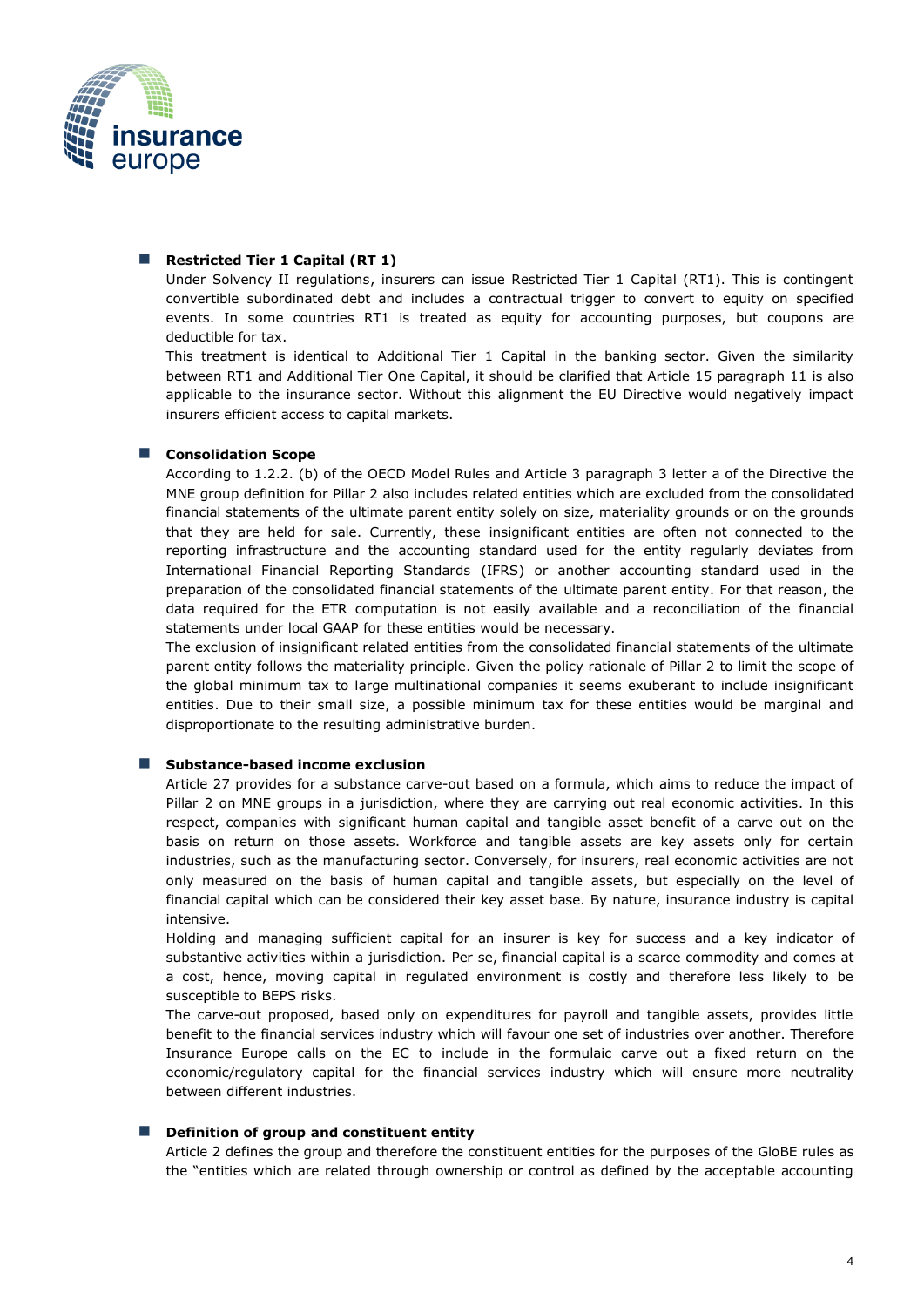

#### ■ Restricted Tier 1 Capital (RT 1)

Under Solvency II regulations, insurers can issue Restricted Tier 1 Capital (RT1). This is contingent convertible subordinated debt and includes a contractual trigger to convert to equity on specified events. In some countries RT1 is treated as equity for accounting purposes, but coupons are deductible for tax.

This treatment is identical to Additional Tier 1 Capital in the banking sector. Given the similarity between RT1 and Additional Tier One Capital, it should be clarified that Article 15 paragraph 11 is also applicable to the insurance sector. Without this alignment the EU Directive would negatively impact insurers efficient access to capital markets.

#### ■ **Consolidation Scope**

According to 1.2.2. (b) of the OECD Model Rules and Article 3 paragraph 3 letter a of the Directive the MNE group definition for Pillar 2 also includes related entities which are excluded from the consolidated financial statements of the ultimate parent entity solely on size, materiality grounds or on the grounds that they are held for sale. Currently, these insignificant entities are often not connected to the reporting infrastructure and the accounting standard used for the entity regularly deviates from International Financial Reporting Standards (IFRS) or another accounting standard used in the preparation of the consolidated financial statements of the ultimate parent entity. For that reason, the data required for the ETR computation is not easily available and a reconciliation of the financial statements under local GAAP for these entities would be necessary.

The exclusion of insignificant related entities from the consolidated financial statements of the ultimate parent entity follows the materiality principle. Given the policy rationale of Pillar 2 to limit the scope of the global minimum tax to large multinational companies it seems exuberant to include insignificant entities. Due to their small size, a possible minimum tax for these entities would be marginal and disproportionate to the resulting administrative burden.

#### ■ Substance-based income exclusion

Article 27 provides for a substance carve-out based on a formula, which aims to reduce the impact of Pillar 2 on MNE groups in a jurisdiction, where they are carrying out real economic activities. In this respect, companies with significant human capital and tangible asset benefit of a carve out on the basis on return on those assets. Workforce and tangible assets are key assets only for certain industries, such as the manufacturing sector. Conversely, for insurers, real economic activities are not only measured on the basis of human capital and tangible assets, but especially on the level of financial capital which can be considered their key asset base. By nature, insurance industry is capital intensive.

Holding and managing sufficient capital for an insurer is key for success and a key indicator of substantive activities within a jurisdiction. Per se, financial capital is a scarce commodity and comes at a cost, hence, moving capital in regulated environment is costly and therefore less likely to be susceptible to BEPS risks.

The carve-out proposed, based only on expenditures for payroll and tangible assets, provides little benefit to the financial services industry which will favour one set of industries over another. Therefore Insurance Europe calls on the EC to include in the formulaic carve out a fixed return on the economic/regulatory capital for the financial services industry which will ensure more neutrality between different industries.

#### ■ **Definition of group and constituent entity**

Article 2 defines the group and therefore the constituent entities for the purposes of the GloBE rules as the "entities which are related through ownership or control as defined by the acceptable accounting